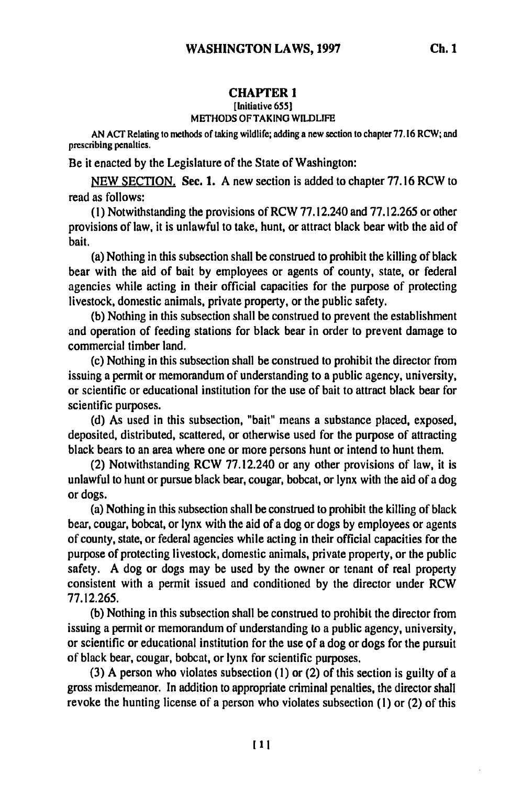### **CHAPTER 1**

# [Initiative **655l**

## **METHODS OF TAKING** WILDLIFE

**AN ACT** Relating to methods of taking wildlife; adding a new section to chapter **77.16** RCW; and prescribing penalties.

Be it enacted **by** the Legislature of the State of Washington:

**NEW SECTION,** Sec. **1. A** new section is added to chapter **77.16** RCW to read as follows:

**(1)** Notwithstanding the provisions of **RCW 77.12.240** and **77.12.265** or other provisions of law, it is unlawful to take, hunt, or attract black bear with the aid of bait.

(a) Nothing in this subsection shall be construed to prohibit the killing of black bear with the aid of bait **by** employees or agents of county, state, or federal agencies while acting in their official capacities for the purpose of protecting livestock, domestic animals, private property, or the public safety.

**(b)** Nothing in this subsection shall be construed to prevent the establishment and operation of feeding stations for black bear in order to prevent damage to commercial timber land.

(c) Nothing in this subsection shall be construed to prohibit the director from issuing a permit or memorandum of understanding to a public agency, university, or scientific or educational institution for the use of bait to attract black bear for scientific purposes.

**(d)** As used in this subsection, "bait" means a substance placed, exposed, deposited, distributed, scattered, or otherwise used for the purpose of attracting black bears to an area where one or more persons hunt or intend to hunt them.

(2) Notwithstanding RCW **77.12.240** or any other provisions of law, it is unlawful to hunt or pursue black bear, cougar, bobcat, or lynx with the aid of a dog or dogs.

(a) Nothing in this subsection shall be construed to prohibit the killing of black bear, cougar, bobcat, or lynx with the aid of a dog or dogs **by** employees or agents of county, state, or federal agencies while acting in their official capacities for the purpose of protecting livestock, domestic animals, private property, or the public safety. **A** dog or dogs may be used **by** the owner or tenant of real property consistent with a permit issued and conditioned **by** the director under RCW **77.12.265.**

**(b)** Nothing in this subsection shall be construed to prohibit the director from issuing a permit or memorandum of understanding to a public agency, university, or scientific or educational institution for the use **of** a dog or dogs for the pursuit of black bear, cougar, bobcat, or lynx for scientific purposes.

**(3) A** person who violates subsection **(1)** or (2) of this section is guilty of a gross misdemeanor. In addition to appropriate criminal penalties, the director shall revoke the hunting license of a person who violates subsection **(1)** or (2) of this